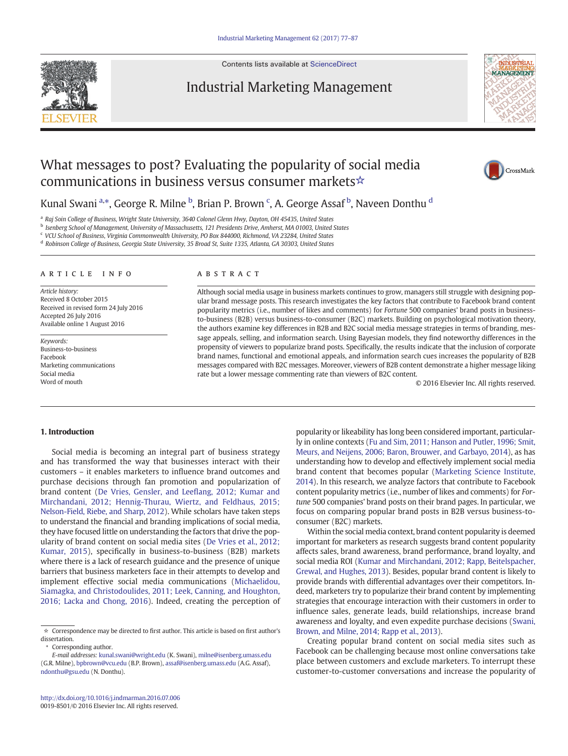Contents lists available at [ScienceDirect](http://www.sciencedirect.com/science/journal/00198501)

# Industrial Marketing Management





INDUSTRIAI MANAGEMENT

## Kunal Swani <sup>a,</sup>\*, George R. Milne <sup>b</sup>, Brian P. Brown <sup>c</sup>, A. George Assaf <sup>b</sup>, Naveen Donthu <sup>d</sup>

<sup>a</sup> Raj Soin College of Business, Wright State University, 3640 Colonel Glenn Hwy, Dayton, OH 45435, United States

b Isenberg School of Management, University of Massachusetts, 121 Presidents Drive, Amherst, MA 01003, United States

<sup>c</sup> VCU School of Business, Virginia Commonwealth University, PO Box 844000, Richmond, VA 23284, United States

<sup>d</sup> Robinson College of Business, Georgia State University, 35 Broad St, Suite 1335, Atlanta, GA 30303, United States

#### article info abstract

Article history: Received 8 October 2015 Received in revised form 24 July 2016 Accepted 26 July 2016 Available online 1 August 2016

Keywords: Business-to-business Facebook Marketing communications Social media Word of mouth

Although social media usage in business markets continues to grow, managers still struggle with designing popular brand message posts. This research investigates the key factors that contribute to Facebook brand content popularity metrics (i.e., number of likes and comments) for Fortune 500 companies' brand posts in businessto-business (B2B) versus business-to-consumer (B2C) markets. Building on psychological motivation theory, the authors examine key differences in B2B and B2C social media message strategies in terms of branding, message appeals, selling, and information search. Using Bayesian models, they find noteworthy differences in the propensity of viewers to popularize brand posts. Specifically, the results indicate that the inclusion of corporate brand names, functional and emotional appeals, and information search cues increases the popularity of B2B messages compared with B2C messages. Moreover, viewers of B2B content demonstrate a higher message liking rate but a lower message commenting rate than viewers of B2C content.

© 2016 Elsevier Inc. All rights reserved.

### 1. Introduction

Social media is becoming an integral part of business strategy and has transformed the way that businesses interact with their customers – it enables marketers to influence brand outcomes and purchase decisions through fan promotion and popularization of brand content ([De Vries, Gensler, and Lee](#page--1-0)flang, 2012; Kumar and [Mirchandani, 2012; Hennig-Thurau, Wiertz, and Feldhaus, 2015;](#page--1-0) [Nelson-Field, Riebe, and Sharp, 2012](#page--1-0)). While scholars have taken steps to understand the financial and branding implications of social media, they have focused little on understanding the factors that drive the popularity of brand content on social media sites ([De Vries et al., 2012;](#page--1-0) [Kumar, 2015\)](#page--1-0), specifically in business-to-business (B2B) markets where there is a lack of research guidance and the presence of unique barriers that business marketers face in their attempts to develop and implement effective social media communications [\(Michaelidou,](#page--1-0) [Siamagka, and Christodoulides, 2011; Leek, Canning, and Houghton,](#page--1-0) [2016; Lacka and Chong, 2016](#page--1-0)). Indeed, creating the perception of

Corresponding author.

E-mail addresses: kunal.swani@wright.edu (K. Swani), milne@isenberg.umass.edu (G.R. Milne), bpbrown@vcu.edu (B.P. Brown), assaf@isenberg.umass.edu (A.G. Assaf), [ndonthu@gsu.edu](mailto:ndonthu@gsu.edu) (N. Donthu).

popularity or likeability has long been considered important, particularly in online contexts [\(Fu and Sim, 2011; Hanson and Putler, 1996; Smit,](#page--1-0) [Meurs, and Neijens, 2006; Baron, Brouwer, and Garbayo, 2014](#page--1-0)), as has understanding how to develop and effectively implement social media brand content that becomes popular [\(Marketing Science Institute,](#page--1-0) [2014](#page--1-0)). In this research, we analyze factors that contribute to Facebook content popularity metrics (i.e., number of likes and comments) for Fortune 500 companies' brand posts on their brand pages. In particular, we focus on comparing popular brand posts in B2B versus business-toconsumer (B2C) markets.

Within the social media context, brand content popularity is deemed important for marketers as research suggests brand content popularity affects sales, brand awareness, brand performance, brand loyalty, and social media ROI ([Kumar and Mirchandani, 2012; Rapp, Beitelspacher,](#page--1-0) [Grewal, and Hughes, 2013](#page--1-0)). Besides, popular brand content is likely to provide brands with differential advantages over their competitors. Indeed, marketers try to popularize their brand content by implementing strategies that encourage interaction with their customers in order to influence sales, generate leads, build relationships, increase brand awareness and loyalty, and even expedite purchase decisions ([Swani,](#page--1-0) [Brown, and Milne, 2014; Rapp et al., 2013\)](#page--1-0).

Creating popular brand content on social media sites such as Facebook can be challenging because most online conversations take place between customers and exclude marketers. To interrupt these customer-to-customer conversations and increase the popularity of



 $\star$  Correspondence may be directed to first author. This article is based on first author's dissertation.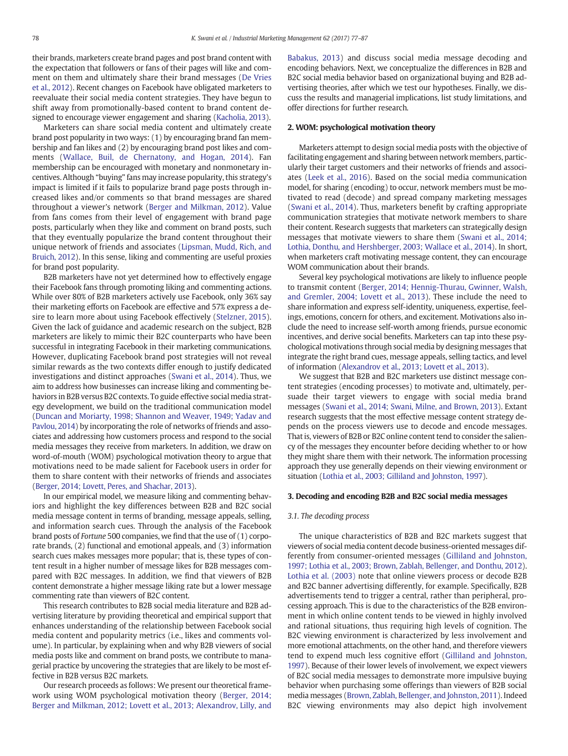their brands, marketers create brand pages and post brand content with the expectation that followers or fans of their pages will like and comment on them and ultimately share their brand messages ([De Vries](#page--1-0) [et al., 2012\)](#page--1-0). Recent changes on Facebook have obligated marketers to reevaluate their social media content strategies. They have begun to shift away from promotionally-based content to brand content designed to encourage viewer engagement and sharing [\(Kacholia, 2013\)](#page--1-0).

Marketers can share social media content and ultimately create brand post popularity in two ways: (1) by encouraging brand fan membership and fan likes and (2) by encouraging brand post likes and comments [\(Wallace, Buil, de Chernatony, and Hogan, 2014\)](#page--1-0). Fan membership can be encouraged with monetary and nonmonetary incentives. Although "buying" fans may increase popularity, this strategy's impact is limited if it fails to popularize brand page posts through increased likes and/or comments so that brand messages are shared throughout a viewer's network [\(Berger and Milkman, 2012\)](#page--1-0). Value from fans comes from their level of engagement with brand page posts, particularly when they like and comment on brand posts, such that they eventually popularize the brand content throughout their unique network of friends and associates [\(Lipsman, Mudd, Rich, and](#page--1-0) [Bruich, 2012\)](#page--1-0). In this sense, liking and commenting are useful proxies for brand post popularity.

B2B marketers have not yet determined how to effectively engage their Facebook fans through promoting liking and commenting actions. While over 80% of B2B marketers actively use Facebook, only 36% say their marketing efforts on Facebook are effective and 57% express a desire to learn more about using Facebook effectively ([Stelzner, 2015](#page--1-0)). Given the lack of guidance and academic research on the subject, B2B marketers are likely to mimic their B2C counterparts who have been successful in integrating Facebook in their marketing communications. However, duplicating Facebook brand post strategies will not reveal similar rewards as the two contexts differ enough to justify dedicated investigations and distinct approaches ([Swani et al., 2014\)](#page--1-0). Thus, we aim to address how businesses can increase liking and commenting behaviors in B2B versus B2C contexts. To guide effective social media strategy development, we build on the traditional communication model [\(Duncan and Moriarty, 1998; Shannon and Weaver, 1949; Yadav and](#page--1-0) [Pavlou, 2014\)](#page--1-0) by incorporating the role of networks of friends and associates and addressing how customers process and respond to the social media messages they receive from marketers. In addition, we draw on word-of-mouth (WOM) psychological motivation theory to argue that motivations need to be made salient for Facebook users in order for them to share content with their networks of friends and associates [\(Berger, 2014; Lovett, Peres, and Shachar, 2013\)](#page--1-0).

In our empirical model, we measure liking and commenting behaviors and highlight the key differences between B2B and B2C social media message content in terms of branding, message appeals, selling, and information search cues. Through the analysis of the Facebook brand posts of Fortune 500 companies, we find that the use of (1) corporate brands, (2) functional and emotional appeals, and (3) information search cues makes messages more popular; that is, these types of content result in a higher number of message likes for B2B messages compared with B2C messages. In addition, we find that viewers of B2B content demonstrate a higher message liking rate but a lower message commenting rate than viewers of B2C content.

This research contributes to B2B social media literature and B2B advertising literature by providing theoretical and empirical support that enhances understanding of the relationship between Facebook social media content and popularity metrics (i.e., likes and comments volume). In particular, by explaining when and why B2B viewers of social media posts like and comment on brand posts, we contribute to managerial practice by uncovering the strategies that are likely to be most effective in B2B versus B2C markets.

Our research proceeds as follows: We present our theoretical framework using WOM psychological motivation theory ([Berger, 2014;](#page--1-0) [Berger and Milkman, 2012; Lovett et al., 2013; Alexandrov, Lilly, and](#page--1-0) [Babakus, 2013\)](#page--1-0) and discuss social media message decoding and encoding behaviors. Next, we conceptualize the differences in B2B and B2C social media behavior based on organizational buying and B2B advertising theories, after which we test our hypotheses. Finally, we discuss the results and managerial implications, list study limitations, and offer directions for further research.

#### 2. WOM: psychological motivation theory

Marketers attempt to design social media posts with the objective of facilitating engagement and sharing between network members, particularly their target customers and their networks of friends and associates [\(Leek et al., 2016](#page--1-0)). Based on the social media communication model, for sharing (encoding) to occur, network members must be motivated to read (decode) and spread company marketing messages [\(Swani et al., 2014](#page--1-0)). Thus, marketers benefit by crafting appropriate communication strategies that motivate network members to share their content. Research suggests that marketers can strategically design messages that motivate viewers to share them [\(Swani et al., 2014;](#page--1-0) [Lothia, Donthu, and Hershberger, 2003; Wallace et al., 2014\)](#page--1-0). In short, when marketers craft motivating message content, they can encourage WOM communication about their brands.

Several key psychological motivations are likely to influence people to transmit content [\(Berger, 2014; Hennig-Thurau, Gwinner, Walsh,](#page--1-0) [and Gremler, 2004; Lovett et al., 2013](#page--1-0)). These include the need to share information and express self-identity, uniqueness, expertise, feelings, emotions, concern for others, and excitement. Motivations also include the need to increase self-worth among friends, pursue economic incentives, and derive social benefits. Marketers can tap into these psychological motivations through social media by designing messages that integrate the right brand cues, message appeals, selling tactics, and level of information [\(Alexandrov et al., 2013; Lovett et al., 2013](#page--1-0)).

We suggest that B2B and B2C marketers use distinct message content strategies (encoding processes) to motivate and, ultimately, persuade their target viewers to engage with social media brand messages ([Swani et al., 2014; Swani, Milne, and Brown, 2013](#page--1-0)). Extant research suggests that the most effective message content strategy depends on the process viewers use to decode and encode messages. That is, viewers of B2B or B2C online content tend to consider the saliency of the messages they encounter before deciding whether to or how they might share them with their network. The information processing approach they use generally depends on their viewing environment or situation [\(Lothia et al., 2003; Gilliland and Johnston, 1997](#page--1-0)).

#### 3. Decoding and encoding B2B and B2C social media messages

#### 3.1. The decoding process

The unique characteristics of B2B and B2C markets suggest that viewers of social media content decode business-oriented messages differently from consumer-oriented messages [\(Gilliland and Johnston,](#page--1-0) [1997; Lothia et al., 2003; Brown, Zablah, Bellenger, and Donthu, 2012\)](#page--1-0). [Lothia et al. \(2003\)](#page--1-0) note that online viewers process or decode B2B and B2C banner advertising differently, for example. Specifically, B2B advertisements tend to trigger a central, rather than peripheral, processing approach. This is due to the characteristics of the B2B environment in which online content tends to be viewed in highly involved and rational situations, thus requiring high levels of cognition. The B2C viewing environment is characterized by less involvement and more emotional attachments, on the other hand, and therefore viewers tend to expend much less cognitive effort [\(Gilliland and Johnston,](#page--1-0) [1997\)](#page--1-0). Because of their lower levels of involvement, we expect viewers of B2C social media messages to demonstrate more impulsive buying behavior when purchasing some offerings than viewers of B2B social media messages [\(Brown, Zablah, Bellenger, and Johnston, 2011\)](#page--1-0). Indeed B2C viewing environments may also depict high involvement